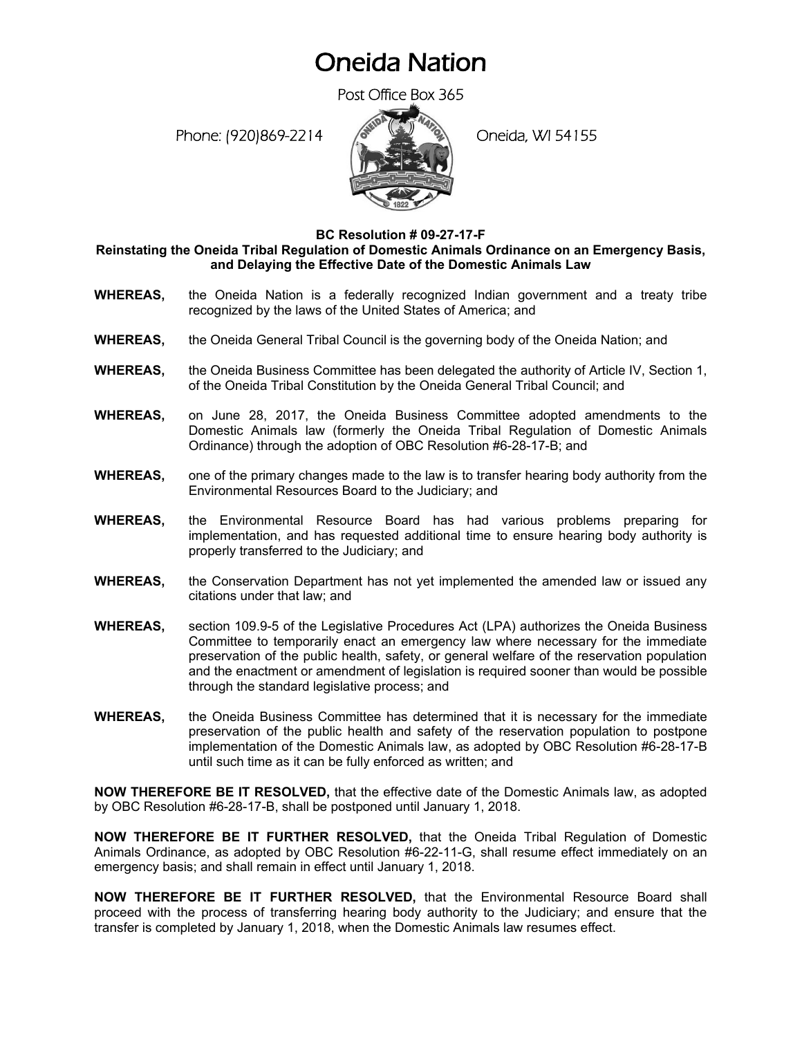## Oneida Nation

Post Office Box 365

Phone: (920)869-2214 (Oneida, WI 54155



**BC Resolution # 09-27-17-F**

**Reinstating the Oneida Tribal Regulation of Domestic Animals Ordinance on an Emergency Basis, and Delaying the Effective Date of the Domestic Animals Law**

- **WHEREAS,** the Oneida Nation is a federally recognized Indian government and a treaty tribe recognized by the laws of the United States of America; and
- **WHEREAS,** the Oneida General Tribal Council is the governing body of the Oneida Nation; and
- **WHEREAS,** the Oneida Business Committee has been delegated the authority of Article IV, Section 1, of the Oneida Tribal Constitution by the Oneida General Tribal Council; and
- **WHEREAS,** on June 28, 2017, the Oneida Business Committee adopted amendments to the Domestic Animals law (formerly the Oneida Tribal Regulation of Domestic Animals Ordinance) through the adoption of OBC Resolution #6-28-17-B; and
- **WHEREAS,** one of the primary changes made to the law is to transfer hearing body authority from the Environmental Resources Board to the Judiciary; and
- **WHEREAS,** the Environmental Resource Board has had various problems preparing for implementation, and has requested additional time to ensure hearing body authority is properly transferred to the Judiciary; and
- **WHEREAS,** the Conservation Department has not yet implemented the amended law or issued any citations under that law; and
- **WHEREAS,** section 109.9-5 of the Legislative Procedures Act (LPA) authorizes the Oneida Business Committee to temporarily enact an emergency law where necessary for the immediate preservation of the public health, safety, or general welfare of the reservation population and the enactment or amendment of legislation is required sooner than would be possible through the standard legislative process; and
- **WHEREAS,** the Oneida Business Committee has determined that it is necessary for the immediate preservation of the public health and safety of the reservation population to postpone implementation of the Domestic Animals law, as adopted by OBC Resolution #6-28-17-B until such time as it can be fully enforced as written; and

**NOW THEREFORE BE IT RESOLVED,** that the effective date of the Domestic Animals law, as adopted by OBC Resolution #6-28-17-B, shall be postponed until January 1, 2018.

**NOW THEREFORE BE IT FURTHER RESOLVED,** that the Oneida Tribal Regulation of Domestic Animals Ordinance, as adopted by OBC Resolution #6-22-11-G, shall resume effect immediately on an emergency basis; and shall remain in effect until January 1, 2018.

**NOW THEREFORE BE IT FURTHER RESOLVED,** that the Environmental Resource Board shall proceed with the process of transferring hearing body authority to the Judiciary; and ensure that the transfer is completed by January 1, 2018, when the Domestic Animals law resumes effect.